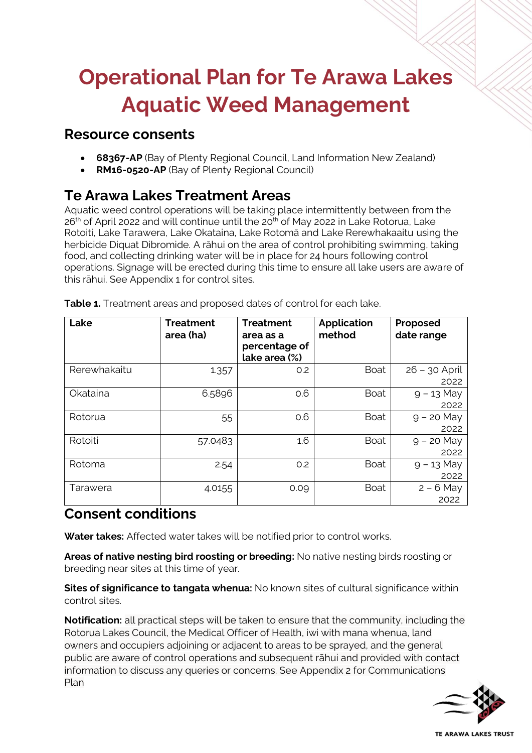# **Operational Plan for Te Arawa Lakes Aquatic Weed Management**

### **Resource consents**

- **68367-AP** (Bay of Plenty Regional Council, Land Information New Zealand)
- **RM16-0520-AP** (Bay of Plenty Regional Council)

# **Te Arawa Lakes Treatment Areas**

Aquatic weed control operations will be taking place intermittently between from the 26<sup>th</sup> of April 2022 and will continue until the 20<sup>th</sup> of May 2022 in Lake Rotorua, Lake Rotoiti, Lake Tarawera, Lake Okataina, Lake Rotomā and Lake Rerewhakaaitu using the herbicide Diquat Dibromide. A rāhui on the area of control prohibiting swimming, taking food, and collecting drinking water will be in place for 24 hours following control operations. Signage will be erected during this time to ensure all lake users are aware of this rāhui. See Appendix 1 for control sites.

| Lake         | <b>Treatment</b><br>area (ha) | <b>Treatment</b><br>area as a<br>percentage of<br>lake area (%) | <b>Application</b><br>method | Proposed<br>date range  |
|--------------|-------------------------------|-----------------------------------------------------------------|------------------------------|-------------------------|
| Rerewhakaitu | 1.357                         | O.2                                                             | <b>Boat</b>                  | $26 - 30$ April<br>2022 |
| Okataina     | 6.5896                        | 0.6                                                             | <b>Boat</b>                  | $9 - 13$ May<br>2022    |
| Rotorua      | 55                            | 0.6                                                             | <b>Boat</b>                  | $9 - 20$ May<br>2022    |
| Rotoiti      | 57.0483                       | 1.6                                                             | <b>Boat</b>                  | $9 - 20$ May<br>2022    |
| Rotoma       | 2.54                          | O.2                                                             | <b>Boat</b>                  | $9 - 13$ May<br>2022    |
| Tarawera     | 4.0155                        | 0.09                                                            | <b>Boat</b>                  | $2 - 6$ May<br>2022     |

**Table 1.** Treatment areas and proposed dates of control for each lake.

# **Consent conditions**

**Water takes:** Affected water takes will be notified prior to control works.

**Areas of native nesting bird roosting or breeding:** No native nesting birds roosting or breeding near sites at this time of year.

**Sites of significance to tangata whenua:** No known sites of cultural significance within control sites.

**Notification:** all practical steps will be taken to ensure that the community, including the Rotorua Lakes Council, the Medical Officer of Health, iwi with mana whenua, land owners and occupiers adjoining or adjacent to areas to be sprayed, and the general public are aware of control operations and subsequent rāhui and provided with contact information to discuss any queries or concerns. See Appendix 2 for Communications Plan



**TE ARAWA LAKES TRUST**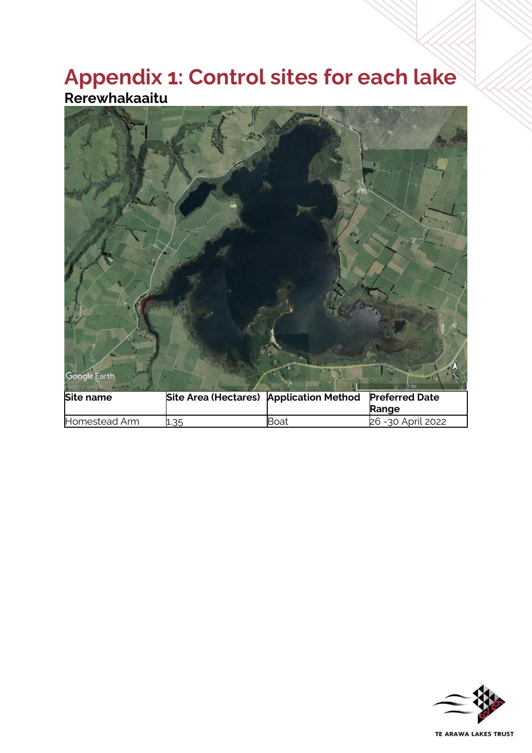# **Appendix 1: Control sites for each lake Rerewhakaaitu**



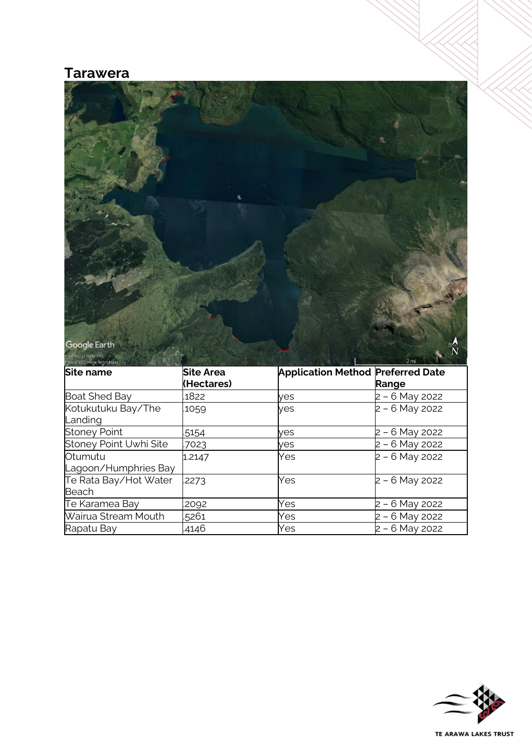### **Tarawera**



| mage a rate mayor room and an<br>Site name | <b>Site Area</b><br>(Hectares) | <b>Application Method Preferred Date</b> | Range            |
|--------------------------------------------|--------------------------------|------------------------------------------|------------------|
| <b>Boat Shed Bay</b>                       | 1822                           | ves                                      | 2 - 6 May 2022   |
| Kotukutuku Bay/The<br>Landing              | 1059                           | yes                                      | $2 - 6$ May 2022 |
| <b>Stoney Point</b>                        | 5154                           | ves                                      | 2 – 6 May 2022   |
| Stoney Point Uwhi Site                     | 7023                           | yes                                      | 2 - 6 May 2022   |
| Otumutu<br>Lagoon/Humphries Bay            | 1.2147                         | Yes                                      | 2 - 6 May 2022   |
| Te Rata Bay/Hot Water<br>Beach             | .2273                          | Yes                                      | 2 - 6 May 2022   |
| Te Karamea Bay                             | .2092                          | Yes                                      | - 6 May 2022     |
| Wairua Stream Mouth                        | 5261                           | Yes                                      | 2 - 6 May 2022   |
| Rapatu Bay                                 | .4146                          | Yes                                      | 2 - 6 May 2022   |

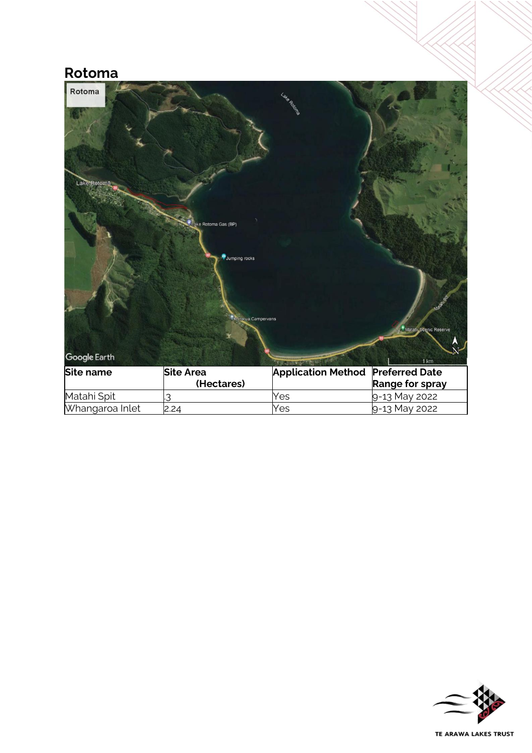# **Rotoma**

| Rotoma<br>Lake Rotoma | ke Rotoma Gas (BP)<br>Jumping rocks<br>Rotorua Campervans | Lake Rotage               | Matahi Scenic Reserve |
|-----------------------|-----------------------------------------------------------|---------------------------|-----------------------|
| Google Earth          |                                                           | <b>THE REAL PROPERTY</b>  | 1 km                  |
| <b>Site name</b>      | <b>Site Area</b>                                          | <b>Application Method</b> | <b>Preferred Date</b> |
|                       | (Hectares)                                                |                           | Range for spray       |
| Matahi Spit           | 3                                                         | Yes                       | 9-13 May 2022         |
| Whangaroa Inlet       | 2.24                                                      | Yes                       | 9-13 May 2022         |

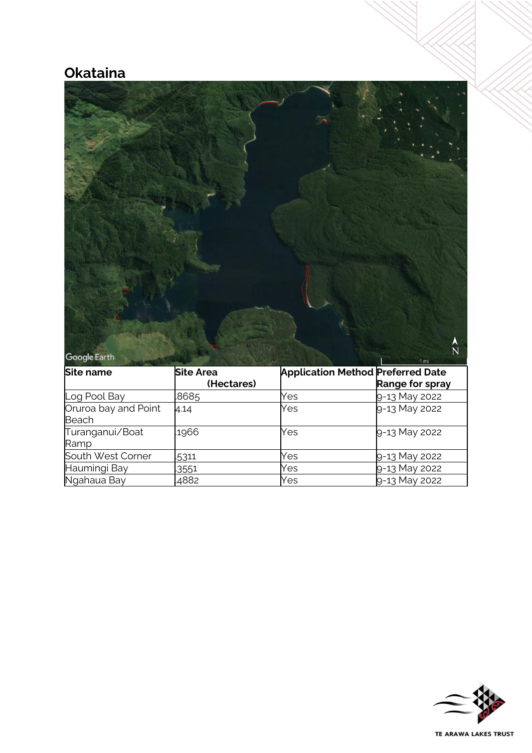# **Okataina**



| Site name                     | Site Area  | <b>Application Method Preferred Date</b> |                 |
|-------------------------------|------------|------------------------------------------|-----------------|
|                               | (Hectares) |                                          | Range for spray |
| Log Pool Bay                  | .8685      | Yes                                      | 9-13 May 2022   |
| Oruroa bay and Point<br>Beach | 4.14       | Yes                                      | 9-13 May 2022   |
| Turanganui/Boat<br>Ramp       | .1966      | Yes                                      | 9-13 May 2022   |
| South West Corner             | 5311       | Yes                                      | 9-13 May 2022   |
| Haumingi Bay                  | 3551       | Yes                                      | 9-13 May 2022   |
| Ngahaua Bay                   | .4882      | Yes                                      | 9-13 May 2022   |

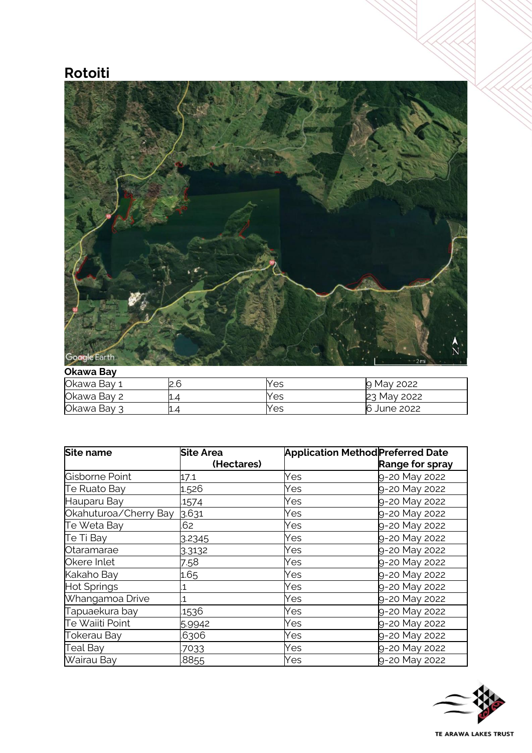# **Rotoiti**



#### **Okawa Bay**

| Okawa Bay 1 | ว คิ | Yes | May 2022<br>p  |
|-------------|------|-----|----------------|
| Okawa Bay 2 | ц.4  | Yes | May 2022<br>23 |
| Okawa Bay 3 | L.4  | Yes | 6<br>June 2022 |

| Site name             | <b>Site Area</b> | <b>Application Method Preferred Date</b> |                        |
|-----------------------|------------------|------------------------------------------|------------------------|
|                       | (Hectares)       |                                          | <b>Range for spray</b> |
| Gisborne Point        | 17.1             | Yes                                      | 9-20 May 2022          |
| Te Ruato Bay          | 1.526            | Yes                                      | 9-20 May 2022          |
| Hauparu Bay           | .1574            | Yes                                      | 9-20 May 2022          |
| Okahuturoa/Cherry Bay | 3.631            | Yes                                      | 9-20 May 2022          |
| Te Weta Bay           | .62              | Yes                                      | 9-20 May 2022          |
| Te Ti Bay             | 3.2345           | Yes                                      | 9-20 May 2022          |
| Otaramarae            | 3.3132           | Yes                                      | 9-20 May 2022          |
| Okere Inlet           | 7.58             | Yes                                      | 9-20 May 2022          |
| Kakaho Bay            | 1.65             | Yes                                      | 9-20 May 2022          |
| <b>Hot Springs</b>    | 1                | Yes                                      | 9-20 May 2022          |
| Whangamoa Drive       | 1                | Yes                                      | 9-20 May 2022          |
| Tapuaekura bay        | .1536            | Yes                                      | 9-20 May 2022          |
| Te Waiiti Point       | 5.9942           | Yes                                      | 9-20 May 2022          |
| <b>Tokerau Bay</b>    | .6306            | Yes                                      | 9-20 May 2022          |
| Teal Bay              | .7033            | Yes                                      | 9-20 May 2022          |
| Wairau Bay            | .8855            | Yes                                      | 9-20 May 2022          |

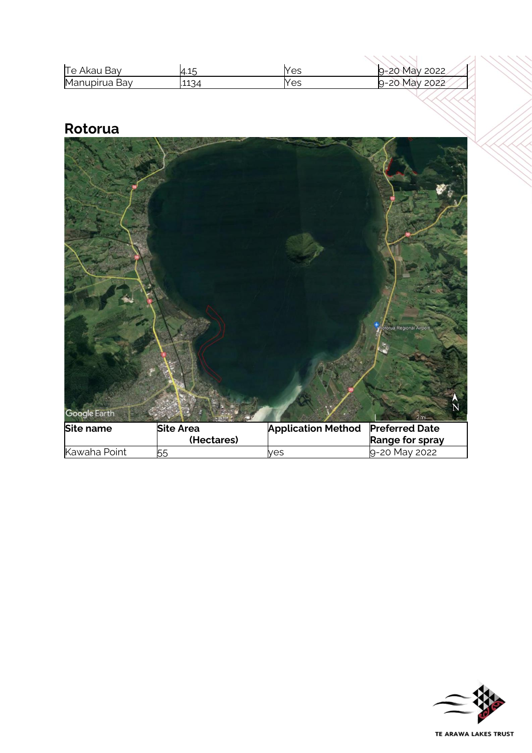| Te Akau Bay   | $\overline{ }$<br>4.15 | Yes | 2022<br>Mav<br>$\Omega$<br>$\sim$<br>ں∠ |
|---------------|------------------------|-----|-----------------------------------------|
| Manupirua Bay | .1134                  | Yes | May<br>2022<br>റ-ാറ                     |

# **Rotorua**

|              |                                |                           | otorua Regional Airport                  |
|--------------|--------------------------------|---------------------------|------------------------------------------|
| Google Earth |                                |                           | N<br>2mi                                 |
| Site name    | <b>Site Area</b><br>(Hectares) | <b>Application Method</b> | <b>Preferred Date</b><br>Range for spray |
| Kawaha Point | 55                             | yes                       | 9-20 May 2022                            |

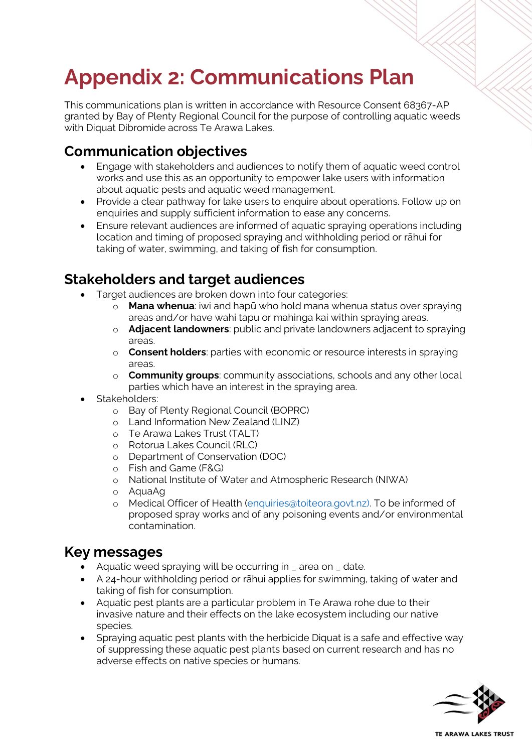# **Appendix 2: Communications Plan**

This communications plan is written in accordance with Resource Consent 68367-AP granted by Bay of Plenty Regional Council for the purpose of controlling aquatic weeds with Diquat Dibromide across Te Arawa Lakes.

# **Communication objectives**

- Engage with stakeholders and audiences to notify them of aquatic weed control works and use this as an opportunity to empower lake users with information about aquatic pests and aquatic weed management.
- Provide a clear pathway for lake users to enquire about operations. Follow up on enquiries and supply sufficient information to ease any concerns.
- Ensure relevant audiences are informed of aquatic spraying operations including location and timing of proposed spraying and withholding period or rāhui for taking of water, swimming, and taking of fish for consumption.

# **Stakeholders and target audiences**

- Target audiences are broken down into four categories:
	- **Mana whenua**: iwi and hapū who hold mana whenua status over spraying areas and/or have wāhi tapu or māhinga kai within spraying areas.
	- o **Adjacent landowners**: public and private landowners adjacent to spraying areas.
	- o **Consent holders**: parties with economic or resource interests in spraying areas.
	- o **Community groups**: community associations, schools and any other local parties which have an interest in the spraying area.
- Stakeholders:
	- o Bay of Plenty Regional Council (BOPRC)
	- o Land Information New Zealand (LINZ)
	- o Te Arawa Lakes Trust (TALT)
	- o Rotorua Lakes Council (RLC)
	- o Department of Conservation (DOC)
	- o Fish and Game (F&G)
	- o National Institute of Water and Atmospheric Research (NIWA)
	- o AquaAg
	- o Medical Officer of Health [\(enquiries@toiteora.govt.nz\).](mailto:enquiries@toiteora.govt.nz) To be informed of proposed spray works and of any poisoning events and/or environmental contamination.

### **Key messages**

- Aquatic weed spraying will be occurring in \_ area on \_ date.
- A 24-hour withholding period or rāhui applies for swimming, taking of water and taking of fish for consumption.
- Aquatic pest plants are a particular problem in Te Arawa rohe due to their invasive nature and their effects on the lake ecosystem including our native species.
- Spraying aquatic pest plants with the herbicide Diquat is a safe and effective way of suppressing these aquatic pest plants based on current research and has no adverse effects on native species or humans.